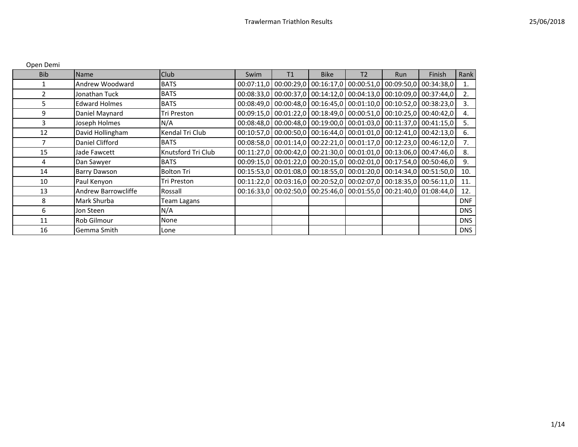| Open Demi     |                            |                    |      |                |                                                                             |                |            |        |                |
|---------------|----------------------------|--------------------|------|----------------|-----------------------------------------------------------------------------|----------------|------------|--------|----------------|
| <b>Bib</b>    | <b>Name</b>                | <b>Club</b>        | Swim | T <sub>1</sub> | <b>Bike</b>                                                                 | T <sub>2</sub> | <b>Run</b> | Finish | Rank           |
|               | Andrew Woodward            | <b>BATS</b>        |      |                | 00:07:11,0 00:00:29,0 00:16:17,0 00:00:51,0 00:09:50,0 00:34:38,0           |                |            |        | 1.             |
| $\mathcal{P}$ | Jonathan Tuck              | <b>BATS</b>        |      |                | 00:08:33,0   00:00:37,0   00:14:12,0   00:04:13,0   00:10:09,0   00:37:44,0 |                |            |        | 2.             |
| 5.            | <b>Edward Holmes</b>       | <b>BATS</b>        |      |                | 00:08:49,0 00:00:48,0 00:16:45,0 00:01:10,0 00:10:52,0 00:38:23,0           |                |            |        | 3.             |
| 9             | Daniel Maynard             | Tri Preston        |      |                | $00:09:15,0$ 00:01:22,0 00:18:49,0 00:00:51,0 00:10:25,0 00:40:42,0         |                |            |        | 4.             |
| 3             | Joseph Holmes              | N/A                |      |                | 00:08:48,0 00:00:48,0 00:19:00,0 00:01:03,0 00:11:37,0 00:41:15,0           |                |            |        | 5.             |
| 12            | David Hollingham           | Kendal Tri Club    |      |                | $00:10:57,0$ 00:00:50,0 00:16:44,0 00:01:01,0 00:12:41,0 00:42:13,0         |                |            |        | 6.             |
| 7             | Daniel Clifford            | <b>BATS</b>        |      |                | 00:08:58,0 00:01:14,0 00:22:21,0 00:01:17,0 00:12:23,0 00:46:12,0           |                |            |        | 7 <sub>1</sub> |
| 15            | Jade Fawcett               | Knutsford Tri Club |      |                | 00:11:27,0 00:00:42,0 00:21:30,0 00:01:01,0 00:13:06,0 00:47:46,0           |                |            |        | 8.             |
| 4             | Dan Sawyer                 | <b>BATS</b>        |      |                | 00:09:15,0 00:01:22,0 00:20:15,0 00:02:01,0 00:17:54,0 00:50:46,0           |                |            |        | 9.             |
| 14            | <b>Barry Dawson</b>        | <b>Bolton Tri</b>  |      |                | 00:15:53,0 00:01:08,0 00:18:55,0 00:01:20,0 00:14:34,0 00:51:50,0           |                |            |        | 10.            |
| 10            | Paul Kenyon                | Tri Preston        |      |                | 00:11:22,0 00:03:16,0 00:20:52,0 00:02:07,0 00:18:35,0 00:56:11,0           |                |            |        | 11.            |
| 13            | <b>Andrew Barrowcliffe</b> | Rossall            |      |                | 00:16:33,0 00:02:50,0 00:25:46,0 00:01:55,0 00:21:40,0 01:08:44,0           |                |            |        | 12.            |
| 8             | Mark Shurba                | <b>Team Lagans</b> |      |                |                                                                             |                |            |        | <b>DNF</b>     |
| 6             | Jon Steen                  | N/A                |      |                |                                                                             |                |            |        | <b>DNS</b>     |
| 11            | Rob Gilmour                | None               |      |                |                                                                             |                |            |        | <b>DNS</b>     |
| 16            | Gemma Smith                | Lone               |      |                |                                                                             |                |            |        | <b>DNS</b>     |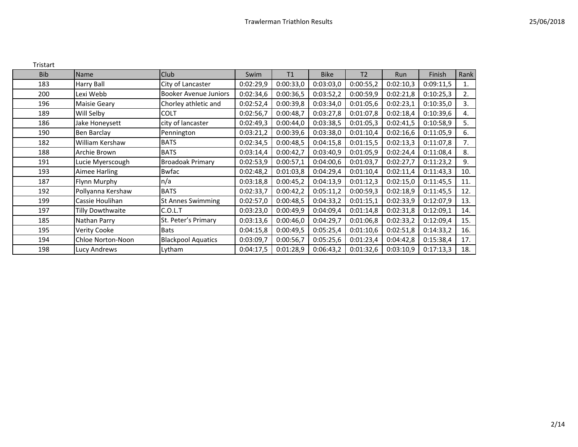| Tristart   |                         |                              |           |           |             |                |           |           |      |
|------------|-------------------------|------------------------------|-----------|-----------|-------------|----------------|-----------|-----------|------|
| <b>Bib</b> | Name                    | Club                         | Swim      | T1        | <b>Bike</b> | T <sub>2</sub> | Run       | Finish    | Rank |
| 183        | Harry Ball              | City of Lancaster            | 0:02:29,9 | 0:00:33,0 | 0:03:03,0   | 0:00:55,2      | 0:02:10,3 | 0:09:11,5 | 1.   |
| 200        | Lexi Webb               | <b>Booker Avenue Juniors</b> | 0:02:34,6 | 0:00:36,5 | 0:03:52,2   | 0:00:59,9      | 0:02:21,8 | 0:10:25,3 | 2.   |
| 196        | <b>Maisie Geary</b>     | Chorley athletic and         | 0:02:52,4 | 0:00:39,8 | 0:03:34,0   | 0:01:05,6      | 0:02:23,1 | 0:10:35,0 | 3.   |
| 189        | Will Selby              | <b>COLT</b>                  | 0:02:56,7 | 0:00:48,7 | 0:03:27,8   | 0:01:07,8      | 0:02:18,4 | 0:10:39,6 | 4.   |
| 186        | Jake Honeysett          | city of lancaster            | 0:02:49,3 | 0:00:44,0 | 0:03:38,5   | 0:01:05,3      | 0:02:41,5 | 0:10:58,9 | 5.   |
| 190        | Ben Barclay             | Pennington                   | 0:03:21,2 | 0:00:39,6 | 0:03:38,0   | 0:01:10,4      | 0:02:16,6 | 0:11:05,9 | 6.   |
| 182        | William Kershaw         | <b>BATS</b>                  | 0:02:34,5 | 0:00:48,5 | 0:04:15,8   | 0:01:15,5      | 0:02:13,3 | 0:11:07,8 | 7.   |
| 188        | Archie Brown            | <b>BATS</b>                  | 0:03:14,4 | 0:00:42,7 | 0:03:40,9   | 0:01:05,9      | 0:02:24,4 | 0:11:08,4 | 8.   |
| 191        | Lucie Myerscough        | <b>Broadoak Primary</b>      | 0:02:53,9 | 0:00:57,1 | 0:04:00,6   | 0:01:03,7      | 0:02:27,7 | 0:11:23,2 | 9.   |
| 193        | Aimee Harling           | Bwfac                        | 0:02:48,2 | 0:01:03,8 | 0:04:29,4   | 0:01:10,4      | 0:02:11,4 | 0:11:43,3 | 10.  |
| 187        | Flynn Murphy            | n/a                          | 0:03:18,8 | 0:00:45,2 | 0:04:13,9   | 0:01:12,3      | 0:02:15,0 | 0:11:45,5 | 11.  |
| 192        | Pollyanna Kershaw       | <b>BATS</b>                  | 0:02:33,7 | 0:00:42,2 | 0:05:11,2   | 0:00:59,3      | 0:02:18,9 | 0:11:45,5 | 12.  |
| 199        | Cassie Houlihan         | <b>St Annes Swimming</b>     | 0:02:57,0 | 0:00:48,5 | 0:04:33,2   | 0:01:15,1      | 0:02:33,9 | 0:12:07,9 | 13.  |
| 197        | <b>Tilly Dowthwaite</b> | C.O.L.T                      | 0:03:23,0 | 0:00:49,9 | 0:04:09,4   | 0:01:14,8      | 0:02:31,8 | 0:12:09,1 | 14.  |
| 185        | Nathan Parry            | St. Peter's Primary          | 0:03:13,6 | 0:00:46,0 | 0:04:29,7   | 0:01:06,8      | 0:02:33,2 | 0:12:09,4 | 15.  |
| 195        | <b>Verity Cooke</b>     | <b>Bats</b>                  | 0:04:15,8 | 0:00:49,5 | 0:05:25,4   | 0:01:10,6      | 0:02:51,8 | 0:14:33,2 | 16.  |
| 194        | Chloe Norton-Noon       | <b>Blackpool Aquatics</b>    | 0:03:09,7 | 0:00:56,7 | 0:05:25,6   | 0:01:23,4      | 0:04:42,8 | 0:15:38,4 | 17.  |
| 198        | Lucy Andrews            | Lytham                       | 0:04:17,5 | 0:01:28,9 | 0:06:43,2   | 0:01:32,6      | 0:03:10,9 | 0:17:13,3 | 18.  |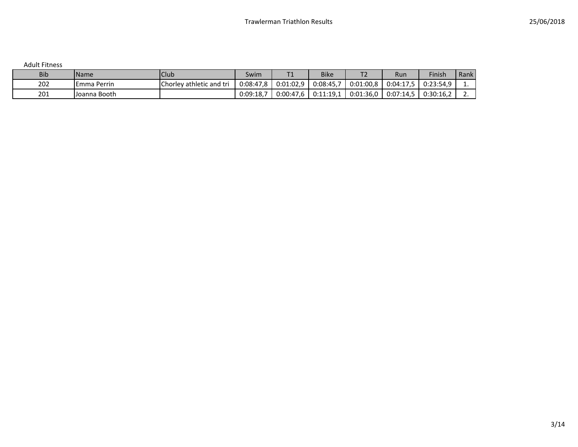Adult Fitness

| <b>Bib</b> | <b>IName</b>        | Club <sup>-</sup>               | Swim      | . .       | <b>Bike</b> | $-$       | Run       | Finish    | Rank     |
|------------|---------------------|---------------------------------|-----------|-----------|-------------|-----------|-----------|-----------|----------|
| 202        | <b>IEmma Perrin</b> | <b>Chorley athletic and tri</b> | 0:08:47.8 | 0:01:02.9 | 0:08:45.7   | 0:01:00.8 | 0:04:17.5 | 0:23:54.9 | <b>.</b> |
| 201        | Lloanna Booth       |                                 | 0:09:18.  | 0:00:47,6 | 0:11:19.1   | 0:01:36.0 | 0:07:14.5 | 0:30:16.2 | <u>.</u> |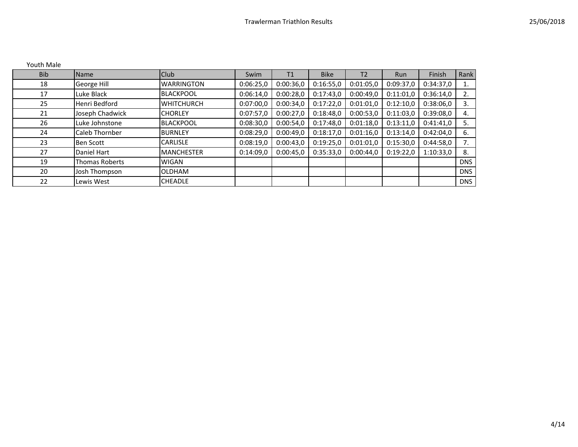| Youth Male |                       |                   |           |                |             |                |           |           |            |
|------------|-----------------------|-------------------|-----------|----------------|-------------|----------------|-----------|-----------|------------|
| <b>Bib</b> | <b>Name</b>           | <b>Club</b>       | Swim      | T <sub>1</sub> | <b>Bike</b> | T <sub>2</sub> | Run       | Finish    | Rank       |
| 18         | George Hill           | <b>WARRINGTON</b> | 0:06:25,0 | 0:00:36,0      | 0:16:55,0   | 0:01:05,0      | 0:09:37,0 | 0:34:37.0 | Ī.         |
| 17         | Luke Black            | <b>BLACKPOOL</b>  | 0:06:14,0 | 0:00:28,0      | 0:17:43,0   | 0:00:49,0      | 0:11:01.0 | 0:36:14.0 | 2.         |
| 25         | Henri Bedford         | <b>WHITCHURCH</b> | 0:07:00,0 | 0:00:34,0      | 0:17:22,0   | 0:01:01,0      | 0:12:10,0 | 0:38:06,0 | 3.         |
| 21         | Joseph Chadwick       | <b>CHORLEY</b>    | 0:07:57,0 | 0:00:27,0      | 0:18:48,0   | 0:00:53,0      | 0:11:03,0 | 0:39:08,0 | 4.         |
| 26         | Luke Johnstone        | <b>BLACKPOOL</b>  | 0:08:30,0 | 0:00:54,0      | 0:17:48,0   | 0:01:18,0      | 0:13:11,0 | 0:41:41,0 | 5.         |
| 24         | <b>Caleb Thornber</b> | <b>BURNLEY</b>    | 0:08:29,0 | 0:00:49,0      | 0:18:17,0   | 0:01:16,0      | 0:13:14.0 | 0:42:04.0 | 6.         |
| 23         | <b>Ben Scott</b>      | <b>CARLISLE</b>   | 0:08:19.0 | 0:00:43.0      | 0:19:25,0   | 0:01:01.0      | 0:15:30.0 | 0:44:58.0 | 7.         |
| 27         | Daniel Hart           | <b>MANCHESTER</b> | 0:14:09.0 | 0:00:45.0      | 0:35:33,0   | 0:00:44.0      | 0:19:22.0 | 1:10:33,0 | 8.         |
| 19         | Thomas Roberts        | <b>WIGAN</b>      |           |                |             |                |           |           | <b>DNS</b> |
| 20         | Josh Thompson         | <b>OLDHAM</b>     |           |                |             |                |           |           | <b>DNS</b> |
| 22         | Lewis West            | <b>CHEADLE</b>    |           |                |             |                |           |           | <b>DNS</b> |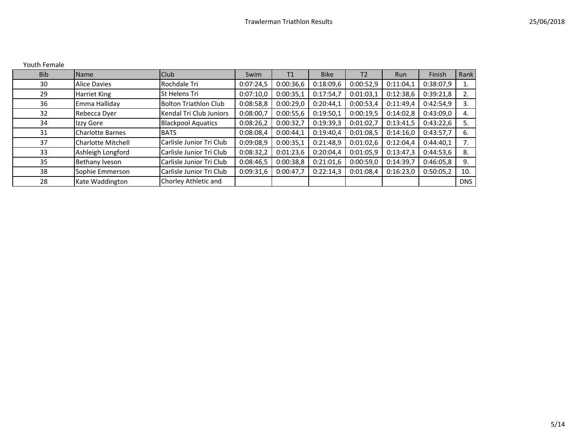| <b>Youth Female</b> |                           |                              |           |                |             |                |           |           |            |
|---------------------|---------------------------|------------------------------|-----------|----------------|-------------|----------------|-----------|-----------|------------|
| <b>Bib</b>          | Name                      | <b>Club</b>                  | Swim      | T <sub>1</sub> | <b>Bike</b> | T <sub>2</sub> | Run       | Finish    | Rank       |
| 30                  | <b>Alice Davies</b>       | Rochdale Tri                 | 0:07:24,5 | 0:00:36,6      | 0:18:09,6   | 0:00:52,9      | 0:11:04,1 | 0:38:07,9 | 1.         |
| 29                  | <b>Harriet King</b>       | St Helens Tri                | 0:07:10,0 | 0:00:35,1      | 0:17:54,7   | 0:01:03,1      | 0:12:38,6 | 0:39:21,8 | 2.         |
| 36                  | Emma Halliday             | <b>Bolton Triathlon Club</b> | 0:08:58,8 | 0:00:29,0      | 0:20:44,1   | 0:00:53,4      | 0:11:49.4 | 0:42:54.9 | 3.         |
| 32                  | Rebecca Dyer              | Kendal Tri Club Juniors      | 0:08:00,7 | 0:00:55,6      | 0:19:50,1   | 0:00:19,5      | 0:14:02,8 | 0:43:09,0 | 4.         |
| 34                  | Izzy Gore                 | <b>Blackpool Aquatics</b>    | 0:08:26,2 | 0:00:32.7      | 0:19:39.3   | 0:01:02,7      | 0:13:41,5 | 0:43:22.6 | 5.         |
| 31                  | <b>Charlotte Barnes</b>   | <b>BATS</b>                  | 0:08:08,4 | 0:00:44.1      | 0:19:40.4   | 0:01:08,5      | 0:14:16,0 | 0:43:57.7 | 6.         |
| 37                  | <b>Charlotte Mitchell</b> | Carlisle Junior Tri Club     | 0:09:08,9 | 0:00:35,1      | 0:21:48,9   | 0:01:02,6      | 0:12:04,4 | 0:44:40,1 | 7.         |
| 33                  | Ashleigh Longford         | Carlisle Junior Tri Club     | 0:08:32,2 | 0:01:23,6      | 0:20:04,4   | 0:01:05,9      | 0:13:47,3 | 0:44:53,6 | 8.         |
| 35                  | Bethany Iveson            | Carlisle Junior Tri Club     | 0:08:46,5 | 0:00:38,8      | 0:21:01,6   | 0:00:59,0      | 0:14:39,7 | 0:46:05,8 | 9.         |
| 38                  | Sophie Emmerson           | Carlisle Junior Tri Club     | 0:09:31,6 | 0:00:47,7      | 0:22:14,3   | 0:01:08,4      | 0:16:23,0 | 0:50:05,2 | 10.        |
| 28                  | Kate Waddington           | Chorley Athletic and         |           |                |             |                |           |           | <b>DNS</b> |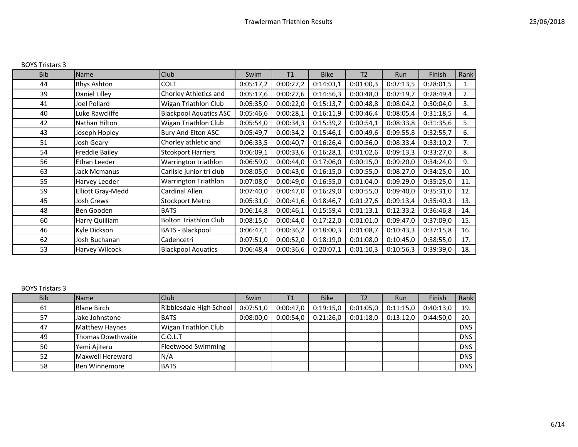| כ כוואנווו כו טם |                          |                               |           |                |             |                |           |           |      |
|------------------|--------------------------|-------------------------------|-----------|----------------|-------------|----------------|-----------|-----------|------|
| <b>Bib</b>       | Name                     | <b>Club</b>                   | Swim      | T <sub>1</sub> | <b>Bike</b> | T <sub>2</sub> | Run       | Finish    | Rank |
| 44               | Rhys Ashton              | <b>COLT</b>                   | 0:05:17,2 | 0:00:27,2      | 0:14:03,1   | 0:01:00,3      | 0:07:13,5 | 0:28:01,5 | 1.   |
| 39               | Daniel Lilley            | Chorley Athletics and         | 0:05:17,6 | 0:00:27,6      | 0:14:56,3   | 0:00:48,0      | 0:07:19,7 | 0:28:49,4 | 2.   |
| 41               | Joel Pollard             | Wigan Triathlon Club          | 0:05:35,0 | 0:00:22,0      | 0:15:13,7   | 0:00:48,8      | 0:08:04,2 | 0:30:04,0 | 3.   |
| 40               | Luke Rawcliffe           | <b>Blackpool Aquatics ASC</b> | 0:05:46,6 | 0:00:28,1      | 0:16:11,9   | 0:00:46,4      | 0:08:05,4 | 0:31:18,5 | 4.   |
| 42               | Nathan Hilton            | Wigan Triathlon Club          | 0:05:54,0 | 0:00:34,3      | 0:15:39,2   | 0:00:54,1      | 0:08:33,8 | 0:31:35,6 | 5.   |
| 43               | Joseph Hopley            | Bury And Elton ASC            | 0:05:49,7 | 0:00:34,2      | 0:15:46,1   | 0:00:49,6      | 0:09:55,8 | 0:32:55,7 | 6.   |
| 51               | Josh Geary               | Chorley athletic and          | 0:06:33,5 | 0:00:40,7      | 0:16:26,4   | 0:00:56,0      | 0:08:33,4 | 0:33:10,2 | 7.   |
| 54               | Freddie Bailey           | <b>Stcokport Harriers</b>     | 0:06:09,1 | 0:00:33,6      | 0:16:28,1   | 0:01:02,6      | 0:09:13,3 | 0:33:27,0 | 8.   |
| 56               | Ethan Leeder             | Warrington triathlon          | 0:06:59,0 | 0:00:44,0      | 0:17:06,0   | 0:00:15,0      | 0:09:20,0 | 0:34:24,0 | 9.   |
| 63               | Jack Mcmanus             | Carlisle junior tri club      | 0:08:05,0 | 0:00:43,0      | 0:16:15,0   | 0:00:55,0      | 0:08:27,0 | 0:34:25,0 | 10.  |
| 55               | Harvey Leeder            | Warrington Triathlon          | 0:07:08,0 | 0:00:49,0      | 0:16:55,0   | 0:01:04,0      | 0:09:29,0 | 0:35:25,0 | 11.  |
| 59               | <b>Elliott Gray-Medd</b> | Cardinal Allen                | 0:07:40,0 | 0:00:47,0      | 0:16:29,0   | 0:00:55,0      | 0:09:40,0 | 0:35:31,0 | 12.  |
| 45               | Josh Crews               | <b>Stockport Metro</b>        | 0:05:31,0 | 0:00:41,6      | 0:18:46,7   | 0:01:27,6      | 0:09:13,4 | 0:35:40,3 | 13.  |
| 48               | Ben Gooden               | <b>BATS</b>                   | 0:06:14,8 | 0:00:46,1      | 0:15:59,4   | 0:01:13,1      | 0:12:33,2 | 0:36:46,8 | 14.  |
| 60               | Harry Quilliam           | <b>Bolton Triathlon Club</b>  | 0:08:15,0 | 0:00:44,0      | 0:17:22,0   | 0:01:01,0      | 0:09:47,0 | 0:37:09,0 | 15.  |
| 46               | Kyle Dickson             | <b>BATS - Blackpool</b>       | 0:06:47,1 | 0:00:36,2      | 0:18:00,3   | 0:01:08,7      | 0:10:43,3 | 0:37:15,8 | 16.  |
| 62               | Josh Buchanan            | Cadencetri                    | 0:07:51,0 | 0:00:52,0      | 0:18:19,0   | 0:01:08,0      | 0:10:45,0 | 0:38:55,0 | 17.  |
| 53               | Harvey Wilcock           | <b>Blackpool Aquatics</b>     | 0:06:48,4 | 0:00:36,6      | 0:20:07,1   | 0:01:10,3      | 0:10:56,3 | 0:39:39,0 | 18.  |

BOYS Tristars 3

BOYS Tristars 3

| <b>Bib</b> | Name                  | <b>Club</b>                 | Swim      |           | <b>Bike</b> | T <sub>2</sub> | Run       | Finish    | Rank       |
|------------|-----------------------|-----------------------------|-----------|-----------|-------------|----------------|-----------|-----------|------------|
| 61         | <b>Blane Birch</b>    | Ribblesdale High School     | 0:07:51,0 | 0:00:47,0 | 0:19:15,0   | 0:01:05,0      | 0:11:15.0 | 0:40:13.0 | 19.        |
| 57         | Jake Johnstone        | <b>BATS</b>                 | 0:08:00.0 | 0:00:54.0 | 0:21:26.0   | 0:01:18.0      | 0:13:12.0 | 0:44:50.0 | 20.        |
| 47         | <b>Matthew Haynes</b> | <b>Wigan Triathlon Club</b> |           |           |             |                |           |           | <b>DNS</b> |
| 49         | Thomas Dowthwaite     | C.O.L.T                     |           |           |             |                |           |           | <b>DNS</b> |
| 50         | Yemi Ajiteru          | Fleetwood Swimming          |           |           |             |                |           |           | <b>DNS</b> |
| 52         | Maxwell Hereward      | N/A                         |           |           |             |                |           |           | <b>DNS</b> |
| 58         | Ben Winnemore         | <b>BATS</b>                 |           |           |             |                |           |           | <b>DNS</b> |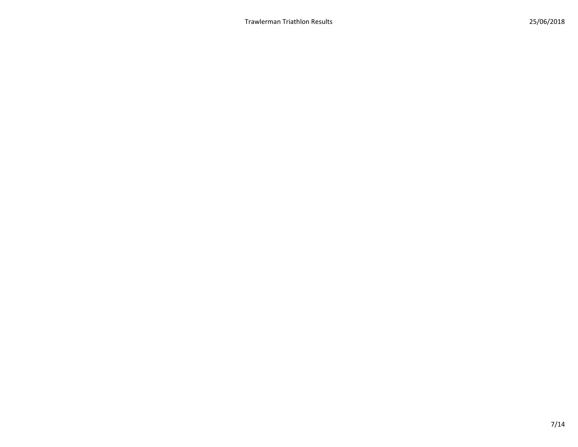Trawlerman Triathlon Results 25/06/2018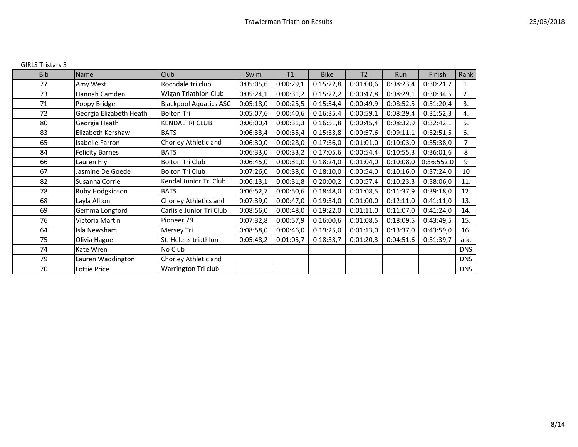| GIRLS Tristars 3 |  |
|------------------|--|
|                  |  |

| <b>Bib</b> | <b>Name</b>             | <b>Club</b>                   | Swim      | T1        | <b>Bike</b> | T <sub>2</sub> | Run       | Finish     | Rank           |
|------------|-------------------------|-------------------------------|-----------|-----------|-------------|----------------|-----------|------------|----------------|
| 77         | Amy West                | Rochdale tri club             | 0:05:05,6 | 0:00:29,1 | 0:15:22,8   | 0:01:00,6      | 0:08:23,4 | 0:30:21,7  | $\mathbf{1}$ . |
| 73         | Hannah Camden           | Wigan Triathlon Club          | 0:05:24,1 | 0:00:31,2 | 0:15:22,2   | 0:00:47,8      | 0:08:29,1 | 0:30:34,5  | 2.             |
| 71         | Poppy Bridge            | <b>Blackpool Aquatics ASC</b> | 0:05:18,0 | 0:00:25,5 | 0:15:54,4   | 0:00:49,9      | 0:08:52,5 | 0:31:20,4  | 3.             |
| 72         | Georgia Elizabeth Heath | <b>Bolton Tri</b>             | 0:05:07,6 | 0:00:40,6 | 0:16:35,4   | 0:00:59,1      | 0:08:29,4 | 0:31:52,3  | 4.             |
| 80         | Georgia Heath           | <b>KENDALTRI CLUB</b>         | 0:06:00,4 | 0:00:31,3 | 0:16:51,8   | 0:00:45,4      | 0:08:32,9 | 0:32:42,1  | 5.             |
| 83         | Elizabeth Kershaw       | <b>BATS</b>                   | 0:06:33,4 | 0:00:35,4 | 0:15:33,8   | 0:00:57,6      | 0:09:11,1 | 0:32:51,5  | 6.             |
| 65         | Isabelle Farron         | Chorley Athletic and          | 0:06:30,0 | 0:00:28,0 | 0:17:36,0   | 0:01:01,0      | 0:10:03,0 | 0:35:38,0  | 7              |
| 84         | <b>Felicity Barnes</b>  | <b>BATS</b>                   | 0:06:33,0 | 0:00:33,2 | 0:17:05,6   | 0:00:54,4      | 0:10:55,3 | 0:36:01,6  | 8              |
| 66         | Lauren Fry              | <b>Bolton Tri Club</b>        | 0:06:45,0 | 0:00:31,0 | 0:18:24,0   | 0:01:04,0      | 0:10:08,0 | 0:36:552,0 | 9              |
| 67         | Jasmine De Goede        | <b>Bolton Tri Club</b>        | 0:07:26,0 | 0:00:38,0 | 0:18:10,0   | 0:00:54,0      | 0:10:16,0 | 0:37:24,0  | 10             |
| 82         | Susanna Corrie          | Kendal Junior Tri Club        | 0:06:13,1 | 0:00:31,8 | 0:20:00,2   | 0:00:57,4      | 0:10:23,3 | 0:38:06,0  | 11.            |
| 78         | Ruby Hodgkinson         | <b>BATS</b>                   | 0:06:52,7 | 0:00:50,6 | 0:18:48,0   | 0:01:08,5      | 0:11:37,9 | 0:39:18,0  | 12.            |
| 68         | Layla Allton            | Chorley Athletics and         | 0:07:39,0 | 0:00:47,0 | 0:19:34,0   | 0:01:00,0      | 0:12:11,0 | 0:41:11,0  | 13.            |
| 69         | Gemma Longford          | Carlisle Junior Tri Club      | 0:08:56,0 | 0:00:48,0 | 0:19:22,0   | 0:01:11,0      | 0:11:07,0 | 0:41:24,0  | 14.            |
| 76         | Victoria Martin         | Pioneer 79                    | 0:07:32,8 | 0:00:57,9 | 0:16:00,6   | 0:01:08,5      | 0:18:09,5 | 0:43:49,5  | 15.            |
| 64         | Isla Newsham            | <b>Mersey Tri</b>             | 0:08:58,0 | 0:00:46,0 | 0:19:25,0   | 0:01:13,0      | 0:13:37,0 | 0:43:59,0  | 16.            |
| 75         | Olivia Hague            | St. Helens triathlon          | 0:05:48,2 | 0:01:05,7 | 0:18:33,7   | 0:01:20,3      | 0:04:51,6 | 0:31:39,7  | a.k.           |
| 74         | Kate Wren               | No Club                       |           |           |             |                |           |            | <b>DNS</b>     |
| 79         | Lauren Waddington       | Chorley Athletic and          |           |           |             |                |           |            | <b>DNS</b>     |
| 70         | Lottie Price            | Warrington Tri club           |           |           |             |                |           |            | <b>DNS</b>     |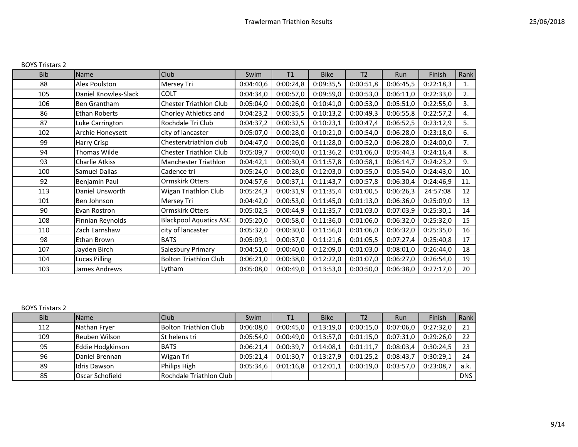| <b>BOYS Tristars 2</b> |  |
|------------------------|--|
|                        |  |

| <b>Bib</b> | Name                  | <b>Club</b>                   | Swim      | T1        | <b>Bike</b> | T <sub>2</sub> | Run       | Finish    | Rank |
|------------|-----------------------|-------------------------------|-----------|-----------|-------------|----------------|-----------|-----------|------|
| 88         | Alex Poulston         | Mersey Tri                    | 0:04:40,6 | 0:00:24,8 | 0:09:35,5   | 0:00:51,8      | 0:06:45,5 | 0:22:18,3 | 1.   |
| 105        | Daniel Knowles-Slack  | <b>COLT</b>                   | 0:04:34,0 | 0:00:57,0 | 0:09:59,0   | 0:00:53,0      | 0:06:11,0 | 0:22:33,0 | 2.   |
| 106        | Ben Grantham          | Chester Triathlon Club        | 0:05:04,0 | 0:00:26,0 | 0:10:41,0   | 0:00:53,0      | 0:05:51,0 | 0:22:55,0 | 3.   |
| 86         | <b>Ethan Roberts</b>  | Chorley Athletics and         | 0:04:23,2 | 0:00:35,5 | 0:10:13,2   | 0:00:49,3      | 0:06:55,8 | 0:22:57,2 | 4.   |
| 87         | Luke Carrington       | Rochdale Tri Club             | 0:04:37,2 | 0:00:32,5 | 0:10:23,1   | 0:00:47,4      | 0:06:52,5 | 0:23:12,9 | 5.   |
| 102        | Archie Honeysett      | city of lancaster             | 0:05:07,0 | 0:00:28,0 | 0:10:21,0   | 0:00:54,0      | 0:06:28,0 | 0:23:18,0 | 6.   |
| 99         | Harry Crisp           | Chestervtriathlon club        | 0:04:47,0 | 0:00:26,0 | 0:11:28,0   | 0:00:52,0      | 0:06:28,0 | 0:24:00,0 | 7.   |
| 94         | Thomas Wilde          | <b>Chester Triathlon Club</b> | 0:05:09,7 | 0:00:40,0 | 0:11:36,2   | 0:01:06,0      | 0:05:44,3 | 0:24:16,4 | 8.   |
| 93         | <b>Charlie Atkiss</b> | Manchester Triathlon          | 0:04:42,1 | 0:00:30,4 | 0:11:57,8   | 0:00:58,1      | 0:06:14,7 | 0:24:23,2 | 9.   |
| 100        | <b>Samuel Dallas</b>  | Cadence tri                   | 0:05:24,0 | 0:00:28,0 | 0:12:03,0   | 0:00:55,0      | 0:05:54,0 | 0:24:43,0 | 10.  |
| 92         | Benjamin Paul         | Ormskirk Otters               | 0:04:57,6 | 0:00:37,1 | 0:11:43,7   | 0:00:57,8      | 0:06:30,4 | 0:24:46,9 | 11.  |
| 113        | Daniel Unsworth       | Wigan Triathlon Club          | 0:05:24,3 | 0:00:31,9 | 0:11:35,4   | 0:01:00,5      | 0:06:26,3 | 24:57:08  | 12   |
| 101        | Ben Johnson           | <b>Mersey Tri</b>             | 0:04:42,0 | 0:00:53,0 | 0:11:45,0   | 0:01:13,0      | 0:06:36,0 | 0:25:09,0 | 13   |
| 90         | Evan Rostron          | Ormskirk Otters               | 0:05:02,5 | 0:00:44,9 | 0:11:35,7   | 0:01:03,0      | 0:07:03,9 | 0:25:30,1 | 14   |
| 108        | Finnian Reynolds      | <b>Blackpool Aquatics ASC</b> | 0:05:20,0 | 0:00:58,0 | 0:11:36,0   | 0:01:06,0      | 0:06:32,0 | 0:25:32,0 | 15   |
| 110        | Zach Earnshaw         | city of lancaster             | 0:05:32,0 | 0:00:30,0 | 0:11:56,0   | 0:01:06,0      | 0:06:32,0 | 0:25:35,0 | 16   |
| 98         | Ethan Brown           | <b>BATS</b>                   | 0:05:09,1 | 0:00:37,0 | 0:11:21,6   | 0:01:05,5      | 0:07:27,4 | 0:25:40,8 | 17   |
| 107        | Jayden Birch          | Salesbury Primary             | 0:04:51,0 | 0:00:40,0 | 0:12:09,0   | 0:01:03,0      | 0:08:01,0 | 0:26:44,0 | 18   |
| 104        | Lucas Pilling         | <b>Bolton Triathlon Club</b>  | 0:06:21,0 | 0:00:38,0 | 0:12:22,0   | 0:01:07,0      | 0:06:27,0 | 0:26:54,0 | 19   |
| 103        | James Andrews         | Lytham                        | 0:05:08,0 | 0:00:49,0 | 0:13:53,0   | 0:00:50,0      | 0:06:38,0 | 0:27:17,0 | 20   |

BOYS Tristars 2

| <b>Bib</b> | IName               | <b>Club</b>                  | Swim      |           | <b>Bike</b> | T <sub>2</sub> | Run       | Finish    | Rank       |
|------------|---------------------|------------------------------|-----------|-----------|-------------|----------------|-----------|-----------|------------|
| 112        | Nathan Fryer        | <b>Bolton Triathlon Club</b> | 0:06:08.0 | 0:00:45.0 | 0:13:19.0   | 0:00:15.0      | 0:07:06.0 | 0:27:32.0 | 21         |
| 109        | Reuben Wilson       | <b>St helens tri</b>         | 0:05:54.0 | 0:00:49.0 | 0:13:57.0   | 0:01:15.0      | 0:07:31.0 | 0:29:26.0 | 22         |
| 95         | Eddie Hodgkinson    | <b>BATS</b>                  | 0:06:21.4 | 0:00:39.7 | 0:14:08.1   | 0:01:11.7      | 0:08:03.4 | 0:30:24.5 | 23         |
| 96         | Daniel Brennan      | Wigan Tri                    | 0:05:21.4 | 0:01:30.7 | 0:13:27.9   | 0:01:25.2      | 0:08:43.7 | 0:30:29.1 | 24         |
| 89         | <b>Idris Dawson</b> | Philips High                 | 0:05:34.6 | 0:01:16.8 | 0:12:01.1   | 0:00:19.0      | 0:03:57.0 | 0:23:08.7 | a.k.       |
| 85         | Oscar Schofield     | Rochdale Triathlon Club      |           |           |             |                |           |           | <b>DNS</b> |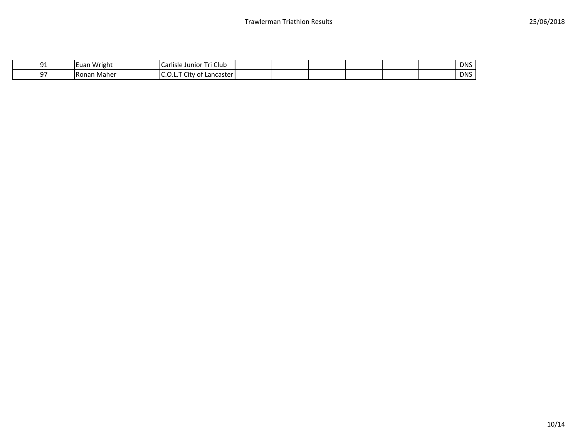| مص<br>-- | .<br>Wright<br>Luar - | . .<br>Carlisle<br>Junio <sup>r</sup><br>rı<br>Club |  |  |  | <b>DNS</b> |
|----------|-----------------------|-----------------------------------------------------|--|--|--|------------|
| ~-       | TRonan Maher          | $\sim$<br>Lancaster<br><b>LITV</b><br>.             |  |  |  | <b>DNS</b> |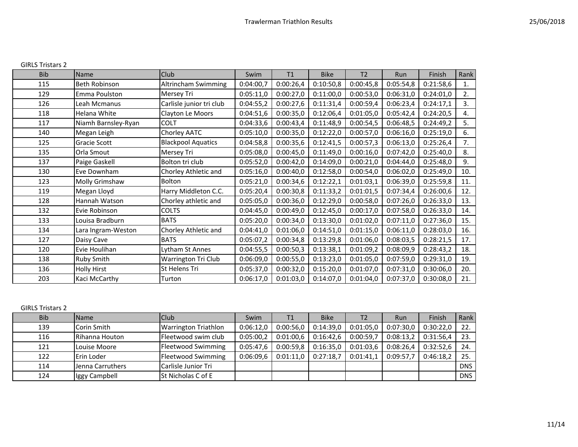| GIRLS Tristars 2 |  |
|------------------|--|
|                  |  |

| <b>Bib</b> | Name                | <b>Club</b>               | Swim      | T1        | <b>Bike</b> | T <sub>2</sub> | <b>Run</b> | Finish    | Rank |
|------------|---------------------|---------------------------|-----------|-----------|-------------|----------------|------------|-----------|------|
| 115        | Beth Robinson       | Altrincham Swimming       | 0:04:00,7 | 0:00:26,4 | 0:10:50,8   | 0:00:45,8      | 0:05:54,8  | 0:21:58,6 | 1.   |
| 129        | Emma Poulston       | Mersey Tri                | 0:05:11,0 | 0:00:27,0 | 0:11:00,0   | 0:00:53,0      | 0:06:31,0  | 0:24:01,0 | 2.   |
| 126        | Leah Mcmanus        | Carlisle junior tri club  | 0:04:55,2 | 0:00:27,6 | 0:11:31,4   | 0:00:59,4      | 0:06:23,4  | 0:24:17,1 | 3.   |
| 118        | Helana White        | Clayton Le Moors          | 0:04:51,6 | 0:00:35,0 | 0:12:06,4   | 0:01:05,0      | 0:05:42,4  | 0:24:20,5 | 4.   |
| 117        | Niamh Barnsley-Ryan | <b>COLT</b>               | 0:04:33,6 | 0:00:43,4 | 0:11:48,9   | 0:00:54,5      | 0:06:48,5  | 0:24:49,2 | 5.   |
| 140        | Megan Leigh         | Chorley AATC              | 0:05:10,0 | 0:00:35,0 | 0:12:22,0   | 0:00:57,0      | 0:06:16,0  | 0:25:19,0 | 6.   |
| 125        | <b>Gracie Scott</b> | <b>Blackpool Aquatics</b> | 0:04:58,8 | 0:00:35,6 | 0:12:41,5   | 0:00:57,3      | 0:06:13,0  | 0:25:26,4 | 7.   |
| 135        | Orla Smout          | Mersey Tri                | 0:05:08,0 | 0:00:45,0 | 0:11:49,0   | 0:00:16,0      | 0:07:42,0  | 0:25:40,0 | 8.   |
| 137        | Paige Gaskell       | Bolton tri club           | 0:05:52,0 | 0:00:42,0 | 0:14:09,0   | 0:00:21,0      | 0:04:44,0  | 0:25:48,0 | 9.   |
| 130        | Eve Downham         | Chorley Athletic and      | 0:05:16,0 | 0:00:40,0 | 0:12:58,0   | 0:00:54,0      | 0:06:02,0  | 0:25:49,0 | 10.  |
| 123        | Molly Grimshaw      | <b>Bolton</b>             | 0:05:21,0 | 0:00:34,6 | 0:12:22,1   | 0:01:03,1      | 0:06:39,0  | 0:25:59,8 | 11.  |
| 119        | Megan Lloyd         | Harry Middleton C.C.      | 0:05:20,4 | 0:00:30,8 | 0:11:33,2   | 0:01:01,5      | 0:07:34,4  | 0:26:00,6 | 12.  |
| 128        | Hannah Watson       | Chorley athletic and      | 0:05:05,0 | 0:00:36,0 | 0:12:29,0   | 0:00:58,0      | 0:07:26,0  | 0:26:33,0 | 13.  |
| 132        | Evie Robinson       | <b>COLTS</b>              | 0:04:45,0 | 0:00:49,0 | 0:12:45,0   | 0:00:17,0      | 0:07:58,0  | 0:26:33,0 | 14.  |
| 133        | Louisa Bradburn     | <b>BATS</b>               | 0:05:20,0 | 0:00:34,0 | 0:13:30,0   | 0:01:02,0      | 0:07:11,0  | 0:27:36,0 | 15.  |
| 134        | Lara Ingram-Weston  | Chorley Athletic and      | 0:04:41,0 | 0:01:06,0 | 0:14:51,0   | 0:01:15,0      | 0:06:11,0  | 0:28:03,0 | 16.  |
| 127        | Daisy Cave          | <b>BATS</b>               | 0:05:07,2 | 0:00:34,8 | 0:13:29,8   | 0:01:06,0      | 0:08:03,5  | 0:28:21,5 | 17.  |
| 120        | Evie Houlihan       | Lytham St Annes           | 0:04:55,5 | 0:00:50,3 | 0:13:38,1   | 0:01:09,2      | 0:08:09,9  | 0:28:43,2 | 18.  |
| 138        | <b>Ruby Smith</b>   | Warrington Tri Club       | 0:06:09,0 | 0:00:55,0 | 0:13:23,0   | 0:01:05,0      | 0:07:59,0  | 0:29:31,0 | 19.  |
| 136        | <b>Holly Hirst</b>  | St Helens Tri             | 0:05:37,0 | 0:00:32,0 | 0:15:20,0   | 0:01:07,0      | 0:07:31,0  | 0:30:06,0 | 20.  |
| 203        | Kaci McCarthy       | Turton                    | 0:06:17,0 | 0:01:03,0 | 0:14:07,0   | 0:01:04,0      | 0:07:37,0  | 0:30:08,0 | 21.  |

GIRLS Tristars 2

| <b>Bib</b> | <b>IName</b>            | <b>Club</b>                 | Swim      |           | <b>Bike</b> | T <sub>2</sub> | Run       | Finish    | Rank       |
|------------|-------------------------|-----------------------------|-----------|-----------|-------------|----------------|-----------|-----------|------------|
| 139        | Corin Smith             | <b>Warrington Triathlon</b> | 0:06:12,0 | 0:00:56.0 | 0:14:39.0   | 0:01:05.0      | 0:07:30.0 | 0:30:22.0 | 22.        |
| 116        | Rihanna Houton          | Fleetwood swim club         | 0:05:00.2 | 0:01:00.6 | 0:16:42.6   | 0:00:59.7      | 0:08:13.2 | 0:31:56.4 | 23.        |
| 121        | Louise Moore            | Fleetwood Swimming          | 0:05:47.6 | 0:00:59.8 | 0:16:35.0   | 0:01:03.6      | 0:08:26.4 | 0:32:52.6 | 24.        |
| 122        | Erin Loder              | Fleetwood Swimming          | 0:06:09.6 | 0:01:11.0 | 0:27:18.7   | 0:01:41.1      | 0:09:57.7 | 0:46:18.2 | 25.        |
| 114        | <b>Jenna Carruthers</b> | Carlisle Junior Tri         |           |           |             |                |           |           | <b>DNS</b> |
| 124        | Iggy Campbell           | <b>St Nicholas C of E</b>   |           |           |             |                |           |           | <b>DNS</b> |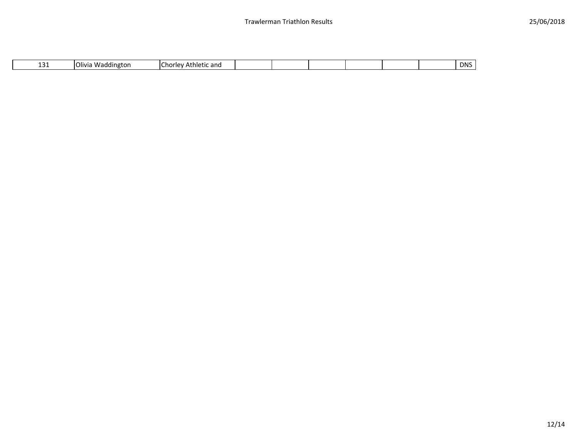| ᆂᇦᆂ | วแขะ<br><b>A</b><br>addington<br>$W$ | nn <sub>n</sub><br><b>riev</b><br>aliu |  |  |  | <b>DNS</b> |
|-----|--------------------------------------|----------------------------------------|--|--|--|------------|
|     |                                      |                                        |  |  |  |            |

 $\boxed{\phantom{1}}$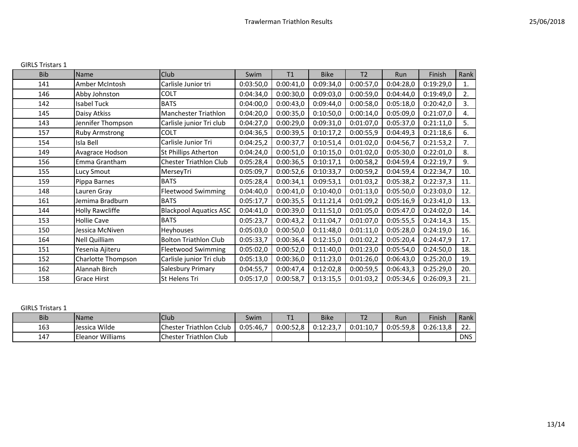|  |  | <b>GIRLS Tristars 1</b> |  |
|--|--|-------------------------|--|
|--|--|-------------------------|--|

| <b>Bib</b> | Name                  | <b>Club</b>                   | Swim      | T1        | <b>Bike</b> | T <sub>2</sub> | Run       | Finish    | Rank           |
|------------|-----------------------|-------------------------------|-----------|-----------|-------------|----------------|-----------|-----------|----------------|
| 141        | Amber McIntosh        | Carlisle Junior tri           | 0:03:50,0 | 0:00:41,0 | 0:09:34,0   | 0:00:57,0      | 0:04:28,0 | 0:19:29,0 | 1.             |
| 146        | Abby Johnston         | <b>COLT</b>                   | 0:04:34,0 | 0:00:30,0 | 0:09:03,0   | 0:00:59,0      | 0:04:44,0 | 0:19:49,0 | 2.             |
| 142        | Isabel Tuck           | <b>BATS</b>                   | 0:04:00,0 | 0:00:43,0 | 0:09:44,0   | 0:00:58,0      | 0:05:18,0 | 0:20:42,0 | 3.             |
| 145        | Daisy Atkiss          | Manchester Triathlon          | 0:04:20,0 | 0:00:35,0 | 0:10:50,0   | 0:00:14,0      | 0:05:09,0 | 0:21:07,0 | 4.             |
| 143        | Jennifer Thompson     | Carlisle junior Tri club      | 0:04:27,0 | 0:00:29,0 | 0:09:31,0   | 0:01:07,0      | 0:05:37,0 | 0:21:11,0 | 5.             |
| 157        | <b>Ruby Armstrong</b> | <b>COLT</b>                   | 0:04:36,5 | 0:00:39,5 | 0:10:17,2   | 0:00:55,9      | 0:04:49,3 | 0:21:18,6 | 6.             |
| 154        | Isla Bell             | Carlisle Junior Tri           | 0:04:25,2 | 0:00:37,7 | 0:10:51,4   | 0:01:02,0      | 0:04:56,7 | 0:21:53,2 | 7 <sub>1</sub> |
| 149        | Avagrace Hodson       | St Phillips Atherton          | 0:04:24,0 | 0:00:51,0 | 0:10:15,0   | 0:01:02,0      | 0:05:30,0 | 0:22:01,0 | 8.             |
| 156        | Emma Grantham         | Chester Triathlon Club        | 0:05:28,4 | 0:00:36,5 | 0:10:17,1   | 0:00:58,2      | 0:04:59,4 | 0:22:19,7 | 9.             |
| 155        | Lucy Smout            | MerseyTri                     | 0:05:09,7 | 0:00:52,6 | 0:10:33,7   | 0:00:59,2      | 0:04:59,4 | 0:22:34,7 | 10.            |
| 159        | Pippa Barnes          | <b>BATS</b>                   | 0:05:28,4 | 0:00:34,1 | 0:09:53,1   | 0:01:03,2      | 0:05:38,2 | 0:22:37,3 | 11.            |
| 148        | Lauren Gray           | <b>Fleetwood Swimming</b>     | 0:04:40,0 | 0:00:41,0 | 0:10:40,0   | 0:01:13,0      | 0:05:50,0 | 0:23:03,0 | 12.            |
| 161        | Jemima Bradburn       | <b>BATS</b>                   | 0:05:17,7 | 0:00:35,5 | 0:11:21,4   | 0:01:09,2      | 0:05:16,9 | 0:23:41,0 | 13.            |
| 144        | Holly Rawcliffe       | <b>Blackpool Aquatics ASC</b> | 0:04:41,0 | 0:00:39,0 | 0:11:51,0   | 0:01:05,0      | 0:05:47,0 | 0:24:02,0 | 14.            |
| 153        | <b>Hollie Cave</b>    | <b>BATS</b>                   | 0:05:23,7 | 0:00:43,2 | 0:11:04,7   | 0:01:07,0      | 0:05:55,5 | 0:24:14,3 | 15.            |
| 150        | Jessica McNiven       | <b>Heyhouses</b>              | 0:05:03,0 | 0:00:50,0 | 0:11:48,0   | 0:01:11,0      | 0:05:28,0 | 0:24:19,0 | 16.            |
| 164        | Nell Quilliam         | <b>Bolton Triathlon Club</b>  | 0:05:33,7 | 0:00:36,4 | 0:12:15,0   | 0:01:02,2      | 0:05:20,4 | 0:24:47,9 | 17.            |
| 151        | Yesenia Ajiteru       | <b>Fleetwood Swimming</b>     | 0:05:02,0 | 0:00:52,0 | 0:11:40,0   | 0:01:23,0      | 0:05:54,0 | 0:24:50,0 | 18.            |
| 152        | Charlotte Thompson    | Carlisle junior Tri club      | 0:05:13,0 | 0:00:36,0 | 0:11:23,0   | 0:01:26,0      | 0:06:43,0 | 0:25:20,0 | 19.            |
| 162        | Alannah Birch         | Salesbury Primary             | 0:04:55,7 | 0:00:47,4 | 0:12:02,8   | 0:00:59,5      | 0:06:43,3 | 0:25:29,0 | 20.            |
| 158        | Grace Hirst           | St Helens Tri                 | 0:05:17,0 | 0:00:58,7 | 0:13:15,5   | 0:01:03,2      | 0:05:34,6 | 0:26:09,3 | 21.            |

GIRLS Tristars 1

| <b>Bib</b> | <b>Name</b>      | <b>Club</b>                | Swim      | $-$       | <b>Bike</b>             | $-$       | Run                                     | Finish    | Rank              |
|------------|------------------|----------------------------|-----------|-----------|-------------------------|-----------|-----------------------------------------|-----------|-------------------|
| 163        | Jessica Wilde    | Triathlon Cclub<br>Chester | 0:05:46.7 | 0:00:52.8 | $0.12.22$ 7<br><u>.</u> | 0:01:10.7 | 0:05:59.8<br>$\cdot \cdot \cdot$ $\cap$ | 0:26:13.8 | $\sim$<br><u></u> |
| 147        | Eleanor Williams | Triathlon Club<br>Chester  |           |           |                         |           |                                         |           | <b>DNS</b>        |